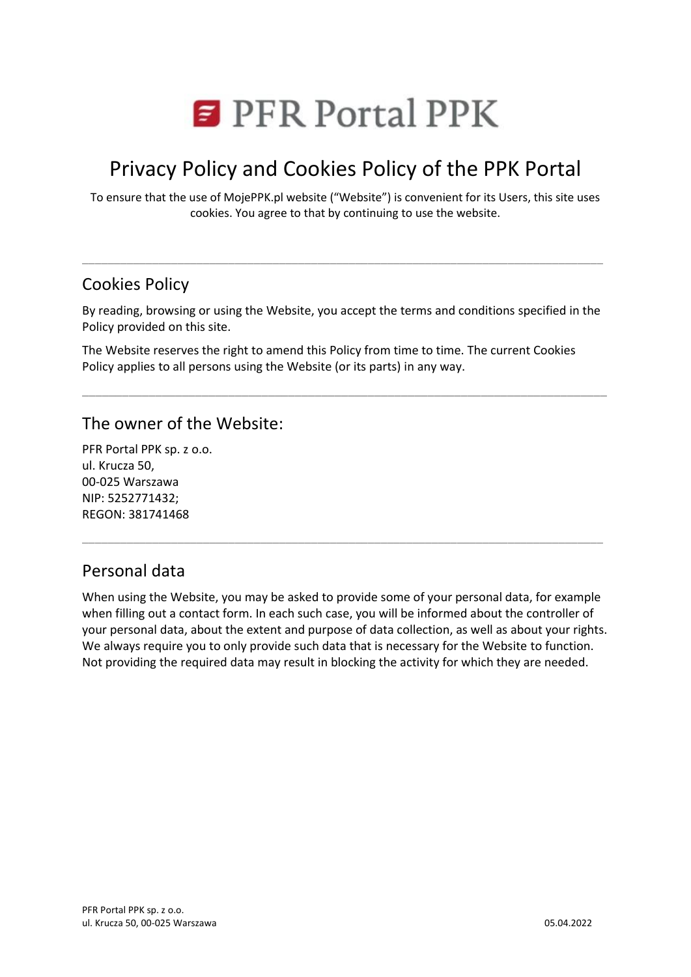

# Privacy Policy and Cookies Policy of the PPK Portal

To ensure that the use of MojePPK.pl website ("Website") is convenient for its Users, this site uses cookies. You agree to that by continuing to use the website.

### Cookies Policy

By reading, browsing or using the Website, you accept the terms and conditions specified in the Policy provided on this site.

\_\_\_\_\_\_\_\_\_\_\_\_\_\_\_\_\_\_\_\_\_\_\_\_\_\_\_\_\_\_\_\_\_\_\_\_\_\_\_\_\_\_\_\_\_\_\_\_\_\_\_\_\_\_\_\_\_\_\_\_\_\_\_\_\_\_\_\_\_\_\_\_\_\_\_\_\_\_\_

\_\_\_\_\_\_\_\_\_\_\_\_\_\_\_\_\_\_\_\_\_\_\_\_\_\_\_\_\_\_\_\_\_\_\_\_\_\_\_\_\_\_\_\_\_\_\_\_\_\_\_\_\_\_\_\_\_\_\_\_\_\_\_\_\_\_\_\_\_\_\_\_\_\_\_\_\_\_\_\_\_\_

The Website reserves the right to amend this Policy from time to time. The current Cookies Policy applies to all persons using the Website (or its parts) in any way.

### The owner of the Website:

PFR Portal PPK sp. z o.o. ul. Krucza 50, 00-025 Warszawa NIP: 5252771432; REGON: 381741468

### Personal data

When using the Website, you may be asked to provide some of your personal data, for example when filling out a contact form. In each such case, you will be informed about the controller of your personal data, about the extent and purpose of data collection, as well as about your rights. We always require you to only provide such data that is necessary for the Website to function. Not providing the required data may result in blocking the activity for which they are needed.

\_\_\_\_\_\_\_\_\_\_\_\_\_\_\_\_\_\_\_\_\_\_\_\_\_\_\_\_\_\_\_\_\_\_\_\_\_\_\_\_\_\_\_\_\_\_\_\_\_\_\_\_\_\_\_\_\_\_\_\_\_\_\_\_\_\_\_\_\_\_\_\_\_\_\_\_\_\_\_\_\_\_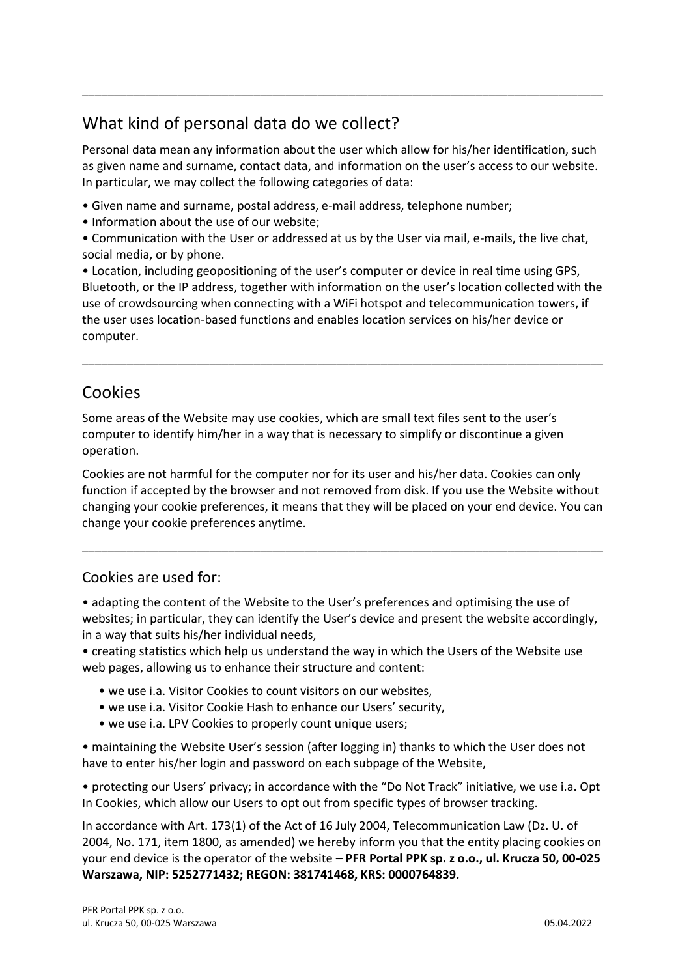## What kind of personal data do we collect?

Personal data mean any information about the user which allow for his/her identification, such as given name and surname, contact data, and information on the user's access to our website. In particular, we may collect the following categories of data:

\_\_\_\_\_\_\_\_\_\_\_\_\_\_\_\_\_\_\_\_\_\_\_\_\_\_\_\_\_\_\_\_\_\_\_\_\_\_\_\_\_\_\_\_\_\_\_\_\_\_\_\_\_\_\_\_\_\_\_\_\_\_\_\_\_\_\_\_\_\_\_\_\_\_\_\_\_\_\_\_\_\_

- Given name and surname, postal address, e-mail address, telephone number;
- Information about the use of our website;
- Communication with the User or addressed at us by the User via mail, e-mails, the live chat, social media, or by phone.

• Location, including geopositioning of the user's computer or device in real time using GPS, Bluetooth, or the IP address, together with information on the user's location collected with the use of crowdsourcing when connecting with a WiFi hotspot and telecommunication towers, if the user uses location-based functions and enables location services on his/her device or computer.

\_\_\_\_\_\_\_\_\_\_\_\_\_\_\_\_\_\_\_\_\_\_\_\_\_\_\_\_\_\_\_\_\_\_\_\_\_\_\_\_\_\_\_\_\_\_\_\_\_\_\_\_\_\_\_\_\_\_\_\_\_\_\_\_\_\_\_\_\_\_\_\_\_\_\_\_\_\_\_\_\_\_

## Cookies

Some areas of the Website may use cookies, which are small text files sent to the user's computer to identify him/her in a way that is necessary to simplify or discontinue a given operation.

Cookies are not harmful for the computer nor for its user and his/her data. Cookies can only function if accepted by the browser and not removed from disk. If you use the Website without changing your cookie preferences, it means that they will be placed on your end device. You can change your cookie preferences anytime.

\_\_\_\_\_\_\_\_\_\_\_\_\_\_\_\_\_\_\_\_\_\_\_\_\_\_\_\_\_\_\_\_\_\_\_\_\_\_\_\_\_\_\_\_\_\_\_\_\_\_\_\_\_\_\_\_\_\_\_\_\_\_\_\_\_\_\_\_\_\_\_\_\_\_\_\_\_\_\_\_\_\_

#### Cookies are used for:

• adapting the content of the Website to the User's preferences and optimising the use of websites; in particular, they can identify the User's device and present the website accordingly, in a way that suits his/her individual needs,

• creating statistics which help us understand the way in which the Users of the Website use web pages, allowing us to enhance their structure and content:

- we use i.a. Visitor Cookies to count visitors on our websites,
- we use i.a. Visitor Cookie Hash to enhance our Users' security,
- we use i.a. LPV Cookies to properly count unique users;

• maintaining the Website User's session (after logging in) thanks to which the User does not have to enter his/her login and password on each subpage of the Website,

• protecting our Users' privacy; in accordance with the "Do Not Track" initiative, we use i.a. Opt In Cookies, which allow our Users to opt out from specific types of browser tracking.

In accordance with Art. 173(1) of the Act of 16 July 2004, Telecommunication Law (Dz. U. of 2004, No. 171, item 1800, as amended) we hereby inform you that the entity placing cookies on your end device is the operator of the website – **PFR Portal PPK sp. z o.o., ul. Krucza 50, 00-025 Warszawa, NIP: 5252771432; REGON: 381741468, KRS: 0000764839.**